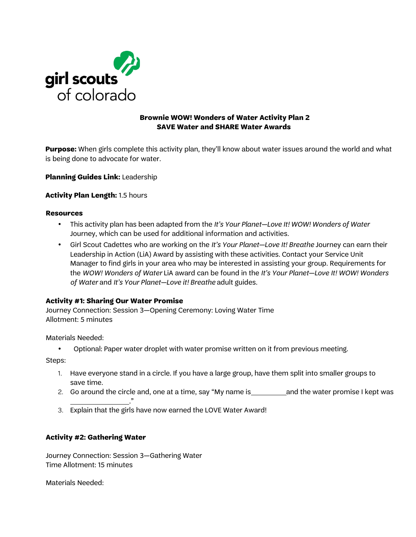

# **SAVE Water and SHARE Water Awards**

**Purpose:** When girls complete this activity plan, they'll know about water issues around the world and what is being done to advocate for water.

**Planning Guides Link:** Leadership

## **Activity Plan Length:** 1.5 hours

#### **Resources**

- This activity plan has been adapted from the *It's Your Planet—Love It! WOW! Wonders of Water* Journey, which can be used for additional information and activities.
- Girl Scout Cadettes who are working on the *It's Your Planet—Love It! Breathe* Journey can earn their Leadership in Action (LiA) Award by assisting with these activities. Contact your Service Unit Manager to find girls in your area who may be interested in assisting your group. Requirements for the *WOW! Wonders of Water* LiA award can be found in the *It's Your Planet—Love It! WOW! Wonders of Water* and *It's Your Planet—Love it! Breathe* adult guides.

### **Activity #1: Sharing Our Water Promise**

Journey Connection: Session 3—Opening Ceremony: Loving Water Time Allotment: 5 minutes

Materials Needed:

• Optional: Paper water droplet with water promise written on it from previous meeting.

Steps:

- 1. Have everyone stand in a circle. If you have a large group, have them split into smaller groups to save time.
- 2. Go around the circle and, one at a time, say "My name is and the water promise I kept was
- ." 3. Explain that the girls have now earned the LOVE Water Award!

## **Activity #2: Gathering Water**

Journey Connection: Session 3—Gathering Water Time Allotment: 15 minutes

Materials Needed: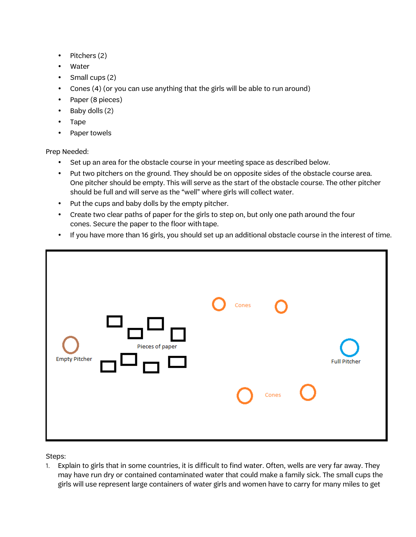- Pitchers (2)
- **Water**
- Small cups (2)
- Cones (4) (or you can use anything that the girls will be able to run around)
- Paper (8 pieces)
- Baby dolls (2)
- Tape
- Paper towels

## Prep Needed:

- Set up an area for the obstacle course in your meeting space as described below.
- Put two pitchers on the ground. They should be on opposite sides of the obstacle course area. One pitcher should be empty. This will serve as the start of the obstacle course. The other pitcher should be full and will serve as the "well" where girls will collect water.
- Put the cups and baby dolls by the empty pitcher.
- Create two clear paths of paper for the girls to step on, but only one path around the four cones. Secure the paper to the floor with tape.
- If you have more than 16 girls, you should set up an additional obstacle course in the interest of time.



Steps:

1. Explain to girls that in some countries, it is difficult to find water. Often, wells are very far away. They may have run dry or contained contaminated water that could make a family sick. The small cups the girls will use represent large containers of water girls and women have to carry for many miles to get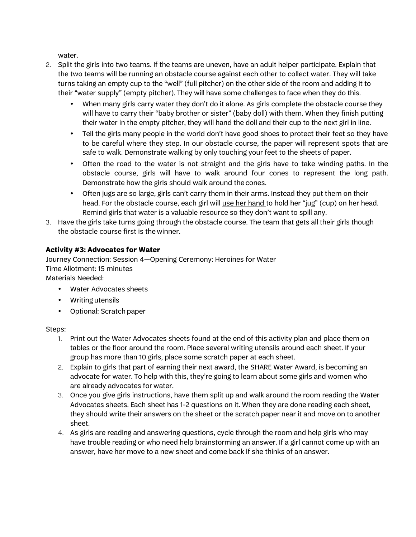water.

- 2. Split the girls into two teams. If the teams are uneven, have an adult helper participate. Explain that the two teams will be running an obstacle course against each other to collect water. They will take turns taking an empty cup to the "well" (full pitcher) on the other side of the room and adding it to their "water supply" (empty pitcher). They will have some challenges to face when they do this.
	- When many girls carry water they don't do it alone. As girls complete the obstacle course they will have to carry their "baby brother or sister" (baby doll) with them. When they finish putting their water in the empty pitcher, they will hand the doll and their cup to the next girl in line.
	- Tell the girls many people in the world don't have good shoes to protect their feet so they have to be careful where they step. In our obstacle course, the paper will represent spots that are safe to walk. Demonstrate walking by only touching your feet to the sheets of paper.
	- Often the road to the water is not straight and the girls have to take winding paths. In the obstacle course, girls will have to walk around four cones to represent the long path. Demonstrate how the girls should walk around the cones.
	- Often jugs are so large, girls can't carry them in their arms. Instead they put them on their head. For the obstacle course, each girl will use her hand to hold her "jug" (cup) on her head. Remind girls that water is a valuable resource so they don't want to spill any.
- 3. Have the girls take turns going through the obstacle course. The team that gets all their girls though the obstacle course first is the winner.

## **Activity #3: Advocates for Water**

Journey Connection: Session 4—Opening Ceremony: Heroines for Water Time Allotment: 15 minutes Materials Needed:

- Water Advocates sheets
- Writing utensils
- Optional: Scratch paper

## Steps:

- 1. Print out the Water Advocates sheets found at the end of this activity plan and place them on tables or the floor around the room. Place several writing utensils around each sheet. If your group has more than 10 girls, place some scratch paper at each sheet.
- 2. Explain to girls that part of earning their next award, the SHARE Water Award, is becoming an advocate for water. To help with this, they're going to learn about some girls and women who are already advocates for water.
- 3. Once you give girls instructions, have them split up and walk around the room reading the Water Advocates sheets. Each sheet has 1-2 questions on it. When they are done reading each sheet, they should write their answers on the sheet or the scratch paper near it and move on to another sheet.
- 4. As girls are reading and answering questions, cycle through the room and help girls who may have trouble reading or who need help brainstorming an answer. If a girl cannot come up with an answer, have her move to a new sheet and come back if she thinks of an answer.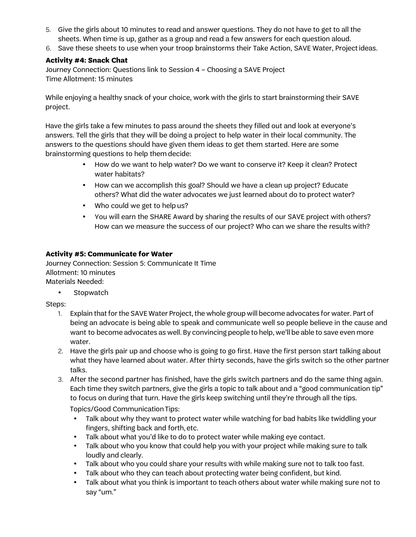- 5. Give the girls about 10 minutes to read and answer questions. They do not have to get to all the sheets. When time is up, gather as a group and read a few answers for each question aloud.
- 6. Save these sheets to use when your troop brainstorms their Take Action, SAVE Water, Projectideas.

# **Activity #4: Snack Chat**

Journey Connection: Questions link to Session 4 – Choosing a SAVE Project Time Allotment: 15 minutes

While enjoying a healthy snack of your choice, work with the girls to start brainstorming their SAVE project.

Have the girls take a few minutes to pass around the sheets they filled out and look at everyone's answers. Tell the girls that they will be doing a project to help water in their local community. The answers to the questions should have given them ideas to get them started. Here are some brainstorming questions to help them decide:

- How do we want to help water? Do we want to conserve it? Keep it clean? Protect water habitats?
- How can we accomplish this goal? Should we have a clean up project? Educate others? What did the water advocates we just learned about do to protect water?
- Who could we get to help us?
- You will earn the SHARE Award by sharing the results of our SAVE project with others? How can we measure the success of our project? Who can we share the results with?

## **Activity #5: Communicate for Water**

Journey Connection: Session 5: Communicate It Time Allotment: 10 minutes Materials Needed:

• Stopwatch

Steps:

- 1. Explain that for the SAVE Water Project, the whole group will become advocates for water. Part of being an advocate is being able to speak and communicate well so people believe in the cause and want to become advocates as well. By convincing people to help, we'll be able to save even more water.
- 2. Have the girls pair up and choose who is going to go first. Have the first person start talking about what they have learned about water. After thirty seconds, have the girls switch so the other partner talks.
- 3. After the second partner has finished, have the girls switch partners and do the same thing again. Each time they switch partners, give the girls a topic to talk about and a "good communication tip" to focus on during that turn. Have the girls keep switching until they're through all the tips.

Topics/Good Communication Tips:

- Talk about why they want to protect water while watching for bad habits like twiddling your fingers, shifting back and forth, etc.
- Talk about what you'd like to do to protect water while making eye contact.
- Talk about who you know that could help you with your project while making sure to talk loudly and clearly.
- Talk about who you could share your results with while making sure not to talk too fast.
- Talk about who they can teach about protecting water being confident, but kind.
- Talk about what you think is important to teach others about water while making sure not to say "um."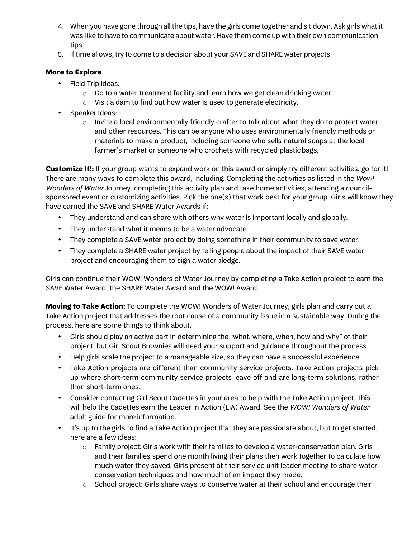- 4. When you have gone through all the tips, have the girls come together and sit down. Ask girls what it was like to have to communicate about water. Have them come up with their own communication tips.
- 5. If time allows, try to come to a decision about your SAVE and SHARE water projects.

# **More to Explore**

- Field Trip Ideas:
	- o Go to a water treatment facility and learn how we get clean drinking water.
	- o Visit a dam to find out how water is used to generate electricity.
- Speaker Ideas:
	- $\circ$  Invite a local environmentally friendly crafter to talk about what they do to protect water and other resources. This can be anyone who uses environmentally friendly methods or materials to make a product, including someone who sells natural soaps at the local farmer's market or someone who crochets with recycled plasticbags.

**Customize It!:** If your group wants to expand work on this award or simply try different activities, go for it! There are many ways to complete this award, including: Completing the activities as listed in the *Wow! Wonders of Water* Journey. completing this activity plan and take home activities, attending a councilsponsored event or customizing activities. Pick the one(s) that work best for your group. Girls will know they have earned the SAVE and SHARE Water Awards if:

- They understand and can share with others why water is important locally and globally.
- They understand what it means to be a water advocate.
- They complete a SAVE water project by doing something in their community to save water.
- They complete a SHARE water project by telling people about the impact of their SAVE water project and encouraging them to sign a water pledge.

Girls can continue their WOW! Wonders of Water Journey by completing a Take Action project to earn the SAVE Water Award, the SHARE Water Award and the WOW! Award.

**Moving to Take Action:** To complete the WOW! Wonders of Water Journey, girls plan and carry out a Take Action project that addresses the root cause of a community issue in a sustainable way. During the process, here are some things to think about.

- Girls should play an active part in determining the "what, where, when, how and why" of their project, but Girl Scout Brownies will need your support and guidance throughout the process.
- Help girls scale the project to a manageable size, so they can have a successful experience.
- Take Action projects are different than community service projects. Take Action projects pick up where short-term community service projects leave off and are long-term solutions, rather than short-term ones.
- Consider contacting Girl Scout Cadettes in your area to help with the Take Action project. This will help the Cadettes earn the Leader in Action (LiA) Award. See the *WOW! Wonders of Water* adult guide for more information.
- It's up to the girls to find a Take Action project that they are passionate about, but to get started, here are a few ideas:
	- $\circ$  Family project: Girls work with their families to develop a water-conservation plan. Girls and their families spend one month living their plans then work together to calculate how much water they saved. Girls present at their service unit leader meeting to share water conservation techniques and how much of an impact they made.
	- $\circ$  School project: Girls share ways to conserve water at their school and encourage their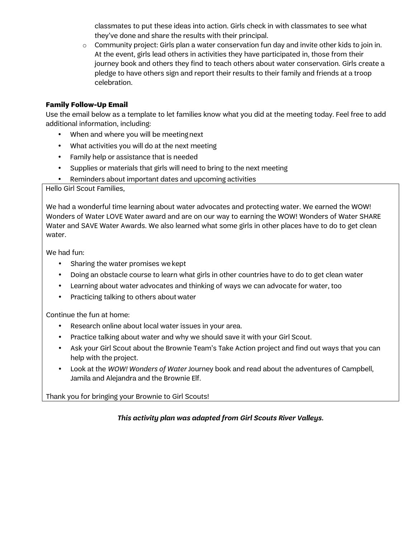classmates to put these ideas into action. Girls check in with classmates to see what they've done and share the results with their principal.

o Community project: Girls plan a water conservation fun day and invite other kids to join in. At the event, girls lead others in activities they have participated in, those from their journey book and others they find to teach others about water conservation. Girls create a pledge to have others sign and report their results to their family and friends at a troop celebration.

# **Family Follow-Up Email**

Use the email below as a template to let families know what you did at the meeting today. Feel free to add additional information, including:

- When and where you will be meeting next
- What activities you will do at the next meeting
- Family help or assistance that is needed
- Supplies or materials that girls will need to bring to the next meeting
- Reminders about important dates and upcoming activities

Hello Girl Scout Families,

We had a wonderful time learning about water advocates and protecting water. We earned the WOW! Wonders of Water LOVE Water award and are on our way to earning the WOW! Wonders of Water SHARE Water and SAVE Water Awards. We also learned what some girls in other places have to do to get clean water.

We had fun:

- Sharing the water promises we kept
- Doing an obstacle course to learn what girls in other countries have to do to get clean water
- Learning about water advocates and thinking of ways we can advocate for water, too
- Practicing talking to others about water

Continue the fun at home:

- Research online about local water issues in your area.
- Practice talking about water and why we should save it with your Girl Scout.
- Ask your Girl Scout about the Brownie Team's Take Action project and find out ways that you can help with the project.
- Look at the *WOW! Wonders of Water* Journey book and read about the adventures of Campbell, Jamila and Alejandra and the Brownie Elf.

Thank you for bringing your Brownie to Girl Scouts!

*This activity plan was adapted from Girl Scouts River Valleys.*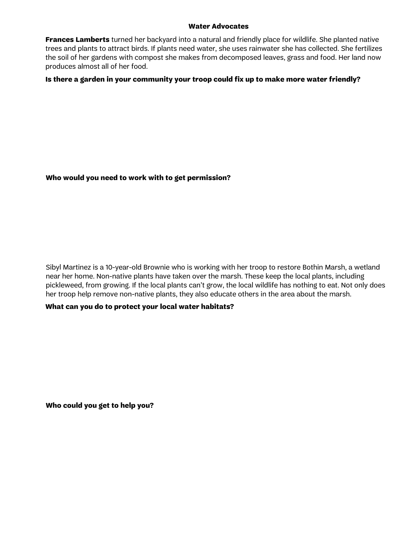#### **Water Advocates**

**Frances Lamberts** turned her backyard into a natural and friendly place for wildlife. She planted native trees and plants to attract birds. If plants need water, she uses rainwater she has collected. She fertilizes the soil of her gardens with compost she makes from decomposed leaves, grass and food. Her land now produces almost all of her food.

## **Is there a garden in your community your troop could fix up to make more water friendly?**

## **Who would you need to work with to get permission?**

Sibyl Martinez is a 10-year-old Brownie who is working with her troop to restore Bothin Marsh, a wetland near her home. Non-native plants have taken over the marsh. These keep the local plants, including pickleweed, from growing. If the local plants can't grow, the local wildlife has nothing to eat. Not only does her troop help remove non-native plants, they also educate others in the area about the marsh.

### **What can you do to protect your local water habitats?**

**Who could you get to help you?**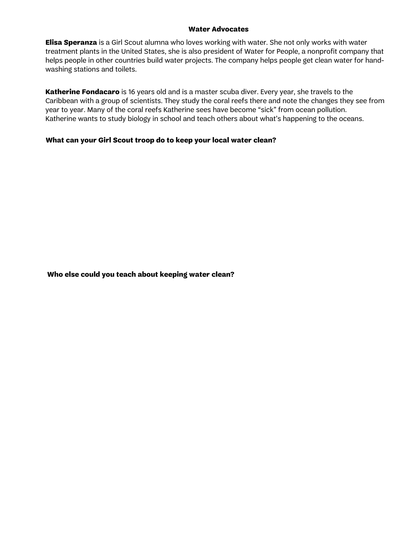#### **Water Advocates**

**Elisa Speranza** is a Girl Scout alumna who loves working with water. She not only works with water treatment plants in the United States, she is also president of Water for People, a nonprofit company that helps people in other countries build water projects. The company helps people get clean water for handwashing stations and toilets.

**Katherine Fondacaro** is 16 years old and is a master scuba diver. Every year, she travels to the Caribbean with a group of scientists. They study the coral reefs there and note the changes they see from year to year. Many of the coral reefs Katherine sees have become "sick" from ocean pollution. Katherine wants to study biology in school and teach others about what's happening to the oceans.

## **What can your Girl Scout troop do to keep your local water clean?**

**Who else could you teach about keeping water clean?**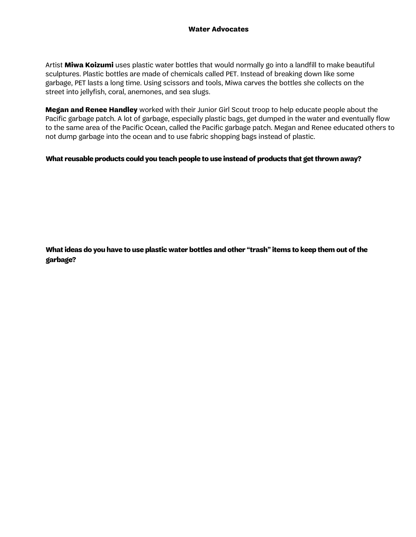Artist **Miwa Koizumi** uses plastic water bottles that would normally go into a landfill to make beautiful sculptures. Plastic bottles are made of chemicals called PET. Instead of breaking down like some garbage, PET lasts a long time. Using scissors and tools, Miwa carves the bottles she collects on the street into jellyfish, coral, anemones, and sea slugs.

**Megan and Renee Handley** worked with their Junior Girl Scout troop to help educate people about the Pacific garbage patch. A lot of garbage, especially plastic bags, get dumped in the water and eventually flow to the same area of the Pacific Ocean, called the Pacific garbage patch. Megan and Renee educated others to not dump garbage into the ocean and to use fabric shopping bags instead of plastic.

### **What reusable products could you teach people to use instead of products that get thrown away?**

**What ideas do you have to use plastic water bottles and other "trash" items to keep them out of the garbage?**